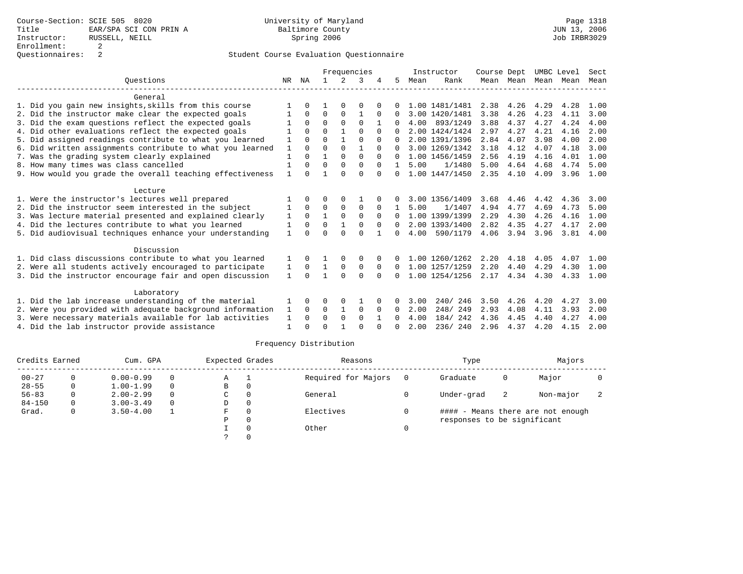## Student Course Evaluation Questionnaire

|                                                           |              |              | Frequencies |             |              |          |              |      | Instructor     | Course Dept |                | UMBC Level |      | Sect |
|-----------------------------------------------------------|--------------|--------------|-------------|-------------|--------------|----------|--------------|------|----------------|-------------|----------------|------------|------|------|
| Ouestions                                                 | NR.          | ΝA           |             | $2^{\circ}$ | 3            |          | 5            | Mean | Rank           |             | Mean Mean Mean |            | Mean | Mean |
| General                                                   |              |              |             |             |              |          |              |      |                |             |                |            |      |      |
| 1. Did you gain new insights, skills from this course     |              |              |             |             |              |          |              |      | 1.00 1481/1481 | 2.38        | 4.26           | 4.29       | 4.28 | 1.00 |
| 2. Did the instructor make clear the expected goals       |              | $\Omega$     | $\Omega$    | $\Omega$    |              |          |              |      | 3.00 1420/1481 | 3.38        | 4.26           | 4.23       | 4.11 | 3.00 |
| 3. Did the exam questions reflect the expected goals      |              | $\Omega$     | $\Omega$    | $\Omega$    | $\Omega$     |          |              | 4.00 | 893/1249       | 3.88        | 4.37           | 4.27       | 4.24 | 4.00 |
| 4. Did other evaluations reflect the expected goals       |              | $\Omega$     | $\Omega$    |             | $\Omega$     |          |              |      | 2.00 1424/1424 | 2.97        | 4.27           | 4.21       | 4.16 | 2.00 |
| 5. Did assigned readings contribute to what you learned   |              | $\cap$       | $\cap$      |             | $\Omega$     | $\Omega$ |              |      | 2.00 1391/1396 | 2.84        | 4.07           | 3.98       | 4.00 | 2.00 |
| 6. Did written assignments contribute to what you learned |              | $\cap$       | $\Omega$    | $\Omega$    |              | $\Omega$ |              |      | 3.00 1269/1342 | 3.18        | 4.12           | 4.07       | 4.18 | 3.00 |
| 7. Was the grading system clearly explained               |              | $\Omega$     |             | $\Omega$    | $\Omega$     | $\Omega$ | $\cap$       |      | 1.00 1456/1459 | 2.56        | 4.19           | 4.16       | 4.01 | 1.00 |
| 8. How many times was class cancelled                     |              | $\Omega$     | $\Omega$    | $\Omega$    | $\Omega$     | $\Omega$ |              | 5.00 | 1/1480         | 5.00        | 4.64           | 4.68       | 4.74 | 5.00 |
| 9. How would you grade the overall teaching effectiveness |              |              |             |             | $\cap$       | $\cap$   | $\Omega$     |      | 1.00 1447/1450 | 2.35        | 4.10           | 4.09       | 3.96 | 1.00 |
| Lecture                                                   |              |              |             |             |              |          |              |      |                |             |                |            |      |      |
| 1. Were the instructor's lectures well prepared           |              |              | ∩           |             |              |          |              |      | 3.00 1356/1409 | 3.68        | 4.46           | 4.42       | 4.36 | 3.00 |
| 2. Did the instructor seem interested in the subject      |              | $\Omega$     | $\Omega$    | $\Omega$    | $\Omega$     |          |              | 5.00 | 1/1407         | 4.94        | 4.77           | 4.69       | 4.73 | 5.00 |
| 3. Was lecture material presented and explained clearly   | 1            | $\mathbf 0$  |             | 0           | 0            | $\Omega$ | $\Omega$     |      | 1.00 1399/1399 | 2.29        | 4.30           | 4.26       | 4.16 | 1.00 |
| 4. Did the lectures contribute to what you learned        |              | $\Omega$     | $\Omega$    |             | $\Omega$     | $\Omega$ | $\Omega$     |      | 2.00 1393/1400 | 2.82        | 4.35           | 4.27       | 4.17 | 2.00 |
| 5. Did audiovisual techniques enhance your understanding  | 1            |              | ∩           |             | $\cap$       |          | <sup>n</sup> | 4.00 | 590/1179       | 4.06        | 3.94           | 3.96       | 3.81 | 4.00 |
| Discussion                                                |              |              |             |             |              |          |              |      |                |             |                |            |      |      |
| 1. Did class discussions contribute to what you learned   |              | $\Omega$     |             |             | $\Omega$     |          |              |      | 1.00 1260/1262 | 2.20        | 4.18           | 4.05       | 4.07 | 1.00 |
| 2. Were all students actively encouraged to participate   | ı            | $\Omega$     |             | $\Omega$    | $\Omega$     | $\Omega$ | $\Omega$     |      | 1.00 1257/1259 | 2.20        | 4.40           | 4.29       | 4.30 | 1.00 |
| 3. Did the instructor encourage fair and open discussion  | $\mathbf{1}$ | $\Omega$     |             | $\cap$      | <sup>0</sup> |          |              |      | 1.00 1254/1256 | 2.17        | 4.34           | 4.30       | 4.33 | 1.00 |
| Laboratory                                                |              |              |             |             |              |          |              |      |                |             |                |            |      |      |
| 1. Did the lab increase understanding of the material     |              | <sup>0</sup> |             |             |              |          |              | 3.00 | 246<br>240/    | 3.50        | 4.26           | 4.20       | 4.27 | 3.00 |
| 2. Were you provided with adequate background information | 1            | $\Omega$     | $\Omega$    |             | $\Omega$     | $\Omega$ | <sup>0</sup> | 2.00 | 248/249        | 2.93        | 4.08           | 4.11       | 3.93 | 2.00 |
| 3. Were necessary materials available for lab activities  |              | $\Omega$     | $\Omega$    | $\Omega$    | $\Omega$     |          | 0            | 4.00 | 184/242        | 4.36        | 4.45           | 4.40       | 4.27 | 4.00 |
| 4. Did the lab instructor provide assistance              |              |              | $\Omega$    |             | $\cap$       |          |              | 2.00 | 236/240        | 2.96        | 4.37           | 4.20       | 4.15 | 2.00 |

### Frequency Distribution

| Credits Earned |   | Cum. GPA      | Expected Grades |    | Reasons  |                     | Type | Majors                      |   |                                   |  |
|----------------|---|---------------|-----------------|----|----------|---------------------|------|-----------------------------|---|-----------------------------------|--|
| $00 - 27$      | 0 | $0.00 - 0.99$ | 0               | Α  |          | Required for Majors | - 0  | Graduate                    | 0 | Major                             |  |
| $28 - 55$      | 0 | $1.00 - 1.99$ | $\Omega$        | B  | 0        |                     |      |                             |   |                                   |  |
| $56 - 83$      | 0 | $2.00 - 2.99$ | $\Omega$        | C  | $\Omega$ | General             |      | Under-grad                  | 2 | Non-major                         |  |
| $84 - 150$     | 0 | $3.00 - 3.49$ | 0               | D  | 0        |                     |      |                             |   |                                   |  |
| Grad.          | 0 | $3.50 - 4.00$ |                 | F. | $\Omega$ | Electives           |      |                             |   | #### - Means there are not enough |  |
|                |   |               |                 | Ρ  | 0        |                     |      | responses to be significant |   |                                   |  |
|                |   |               |                 |    |          | Other               |      |                             |   |                                   |  |
|                |   |               |                 |    |          |                     |      |                             |   |                                   |  |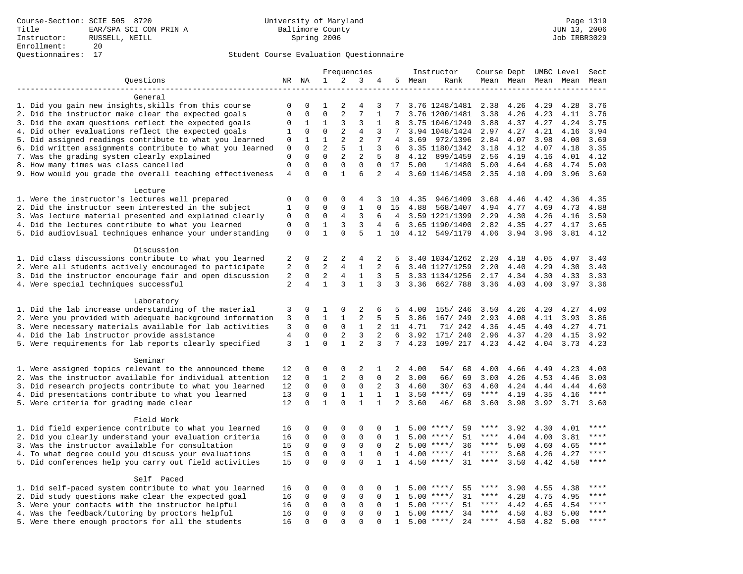## Student Course Evaluation Questionnaire

|                                                                                                                     |                             |                         | Frequencies                |                               |                                | Instructor          | Course Dept UMBC Level |              |                          |              | Sect         |              |              |              |
|---------------------------------------------------------------------------------------------------------------------|-----------------------------|-------------------------|----------------------------|-------------------------------|--------------------------------|---------------------|------------------------|--------------|--------------------------|--------------|--------------|--------------|--------------|--------------|
| Questions                                                                                                           |                             | NR NA                   | $\mathbf{1}$               | 2                             | 3                              | 4                   |                        | 5 Mean       | Rank                     |              | Mean Mean    |              | Mean Mean    | Mean         |
|                                                                                                                     |                             |                         |                            |                               |                                |                     |                        |              |                          |              |              |              |              |              |
| General                                                                                                             |                             |                         |                            |                               |                                |                     |                        |              |                          |              |              |              |              |              |
| 1. Did you gain new insights, skills from this course                                                               | 0                           | 0                       | 1                          | 2                             | 4                              | 3                   | 7                      |              | 3.76 1248/1481           | 2.38         | 4.26         | 4.29         | 4.28         | 3.76         |
| 2. Did the instructor make clear the expected goals                                                                 | $\mathbf{0}$                | $\mathbf 0$             | $\mathbf 0$                | 2                             | 7                              | $\mathbf{1}$        | 7                      |              | 3.76 1200/1481           | 3.38         | 4.26         | 4.23         | 4.11         | 3.76         |
| 3. Did the exam questions reflect the expected goals                                                                | 0                           | 1                       | 1                          | 3                             | 3                              | $\mathbf{1}$        |                        |              | 3.75 1046/1249           | 3.88         | 4.37         | 4.27         | 4.24         | 3.75         |
| 4. Did other evaluations reflect the expected goals                                                                 | 1                           | $\mathbf 0$             | $\mathbf 0$                | 2                             | $\overline{4}$                 | 3                   | 7                      |              | 3.94 1048/1424           | 2.97         | 4.27         | 4.21         | 4.16         | 3.94         |
| 5. Did assigned readings contribute to what you learned                                                             | $\mathbf 0$                 | $\mathbf{1}$            | $\mathbf{1}$               | 2                             | $\overline{2}$                 | 7                   | 4                      | 3.69         | 972/1396                 | 2.84         | 4.07         | 3.98         | 4.00         | 3.69         |
| 6. Did written assignments contribute to what you learned                                                           | $\mathbf 0$                 | $\mathbf 0$<br>$\Omega$ | $\overline{a}$<br>$\Omega$ | 5                             | $\mathbf{1}$<br>$\overline{2}$ | 3                   | 6                      |              | 3.35 1180/1342           | 3.18         | 4.12         | 4.07         | 4.18         | 3.35         |
| 7. Was the grading system clearly explained                                                                         | $\mathbf 0$<br>$\mathbf{0}$ | $\mathbf 0$             | $\mathbf 0$                | $\overline{2}$<br>$\mathbf 0$ | $\mathbf{0}$                   | 5                   | 8                      | 4.12         | 899/1459                 | 2.56         | 4.19         | 4.16         | 4.01         | 4.12         |
| 8. How many times was class cancelled<br>9. How would you grade the overall teaching effectiveness                  | $\overline{4}$              | $\Omega$                | $\Omega$                   | $\mathbf{1}$                  | 6                              | 0<br>$\overline{2}$ | 17<br>$\overline{4}$   | 5.00         | 1/1480<br>3.69 1146/1450 | 5.00<br>2.35 | 4.64<br>4.10 | 4.68<br>4.09 | 4.74<br>3.96 | 5.00<br>3.69 |
|                                                                                                                     |                             |                         |                            |                               |                                |                     |                        |              |                          |              |              |              |              |              |
| Lecture                                                                                                             |                             |                         |                            |                               |                                |                     |                        |              |                          |              |              |              |              |              |
| 1. Were the instructor's lectures well prepared                                                                     | $\mathbf 0$                 | $\mathbf 0$             | $\mathbf 0$                | $\mathbf{0}$                  | 4                              | 3                   | 10                     | 4.35         | 946/1409                 | 3.68         | 4.46         | 4.42         | 4.36         | 4.35         |
| 2. Did the instructor seem interested in the subject                                                                | $\mathbf{1}$                | $\mathbf 0$             | $\mathbf 0$                | $\mathbf{0}$                  | $\mathbf{1}$                   | $\Omega$            | 15                     | 4.88         | 568/1407                 | 4.94         | 4.77         | 4.69         | 4.73         | 4.88         |
| 3. Was lecture material presented and explained clearly                                                             | 0                           | 0                       | 0                          | 4                             | 3                              | 6                   | 4                      |              | 3.59 1221/1399           | 2.29         | 4.30         | 4.26         | 4.16         | 3.59         |
| 4. Did the lectures contribute to what you learned                                                                  | $\mathbf 0$                 | $\mathbf 0$             | 1                          | 3                             | 3                              | $\overline{4}$      | 6                      |              | 3.65 1190/1400           | 2.82         | 4.35         | 4.27         | 4.17         | 3.65         |
| 5. Did audiovisual techniques enhance your understanding                                                            | $\mathbf 0$                 | $\Omega$                | $\mathbf{1}$               | $\Omega$                      | 5                              | $\mathbf{1}$        | 10                     | 4.12         | 549/1179                 | 4.06         | 3.94         | 3.96         | 3.81         | 4.12         |
|                                                                                                                     |                             |                         |                            |                               |                                |                     |                        |              |                          |              |              |              |              |              |
| Discussion                                                                                                          |                             |                         |                            |                               |                                |                     |                        |              |                          |              |              |              |              |              |
| 1. Did class discussions contribute to what you learned                                                             | 2                           | $\mathbf 0$             | $\overline{c}$             | 2                             | 4                              | 2                   | 5                      |              | 3.40 1034/1262           | 2.20         | 4.18         | 4.05         | 4.07         | 3.40         |
| 2. Were all students actively encouraged to participate                                                             | $\overline{2}$              | $\mathbf 0$             | $\overline{2}$             | $\overline{4}$                | $\mathbf{1}$                   | $\overline{a}$      | 6                      |              | 3.40 1127/1259           | 2.20         | 4.40         | 4.29         | 4.30         | 3.40         |
| 3. Did the instructor encourage fair and open discussion                                                            | $\overline{c}$              | 0                       | $\overline{2}$             | 4                             | 1                              | 3                   | 5                      |              | 3.33 1134/1256           | 2.17         | 4.34         | 4.30         | 4.33         | 3.33         |
| 4. Were special techniques successful                                                                               | 2                           | $\overline{4}$          | $\mathbf{1}$               | 3                             | $\mathbf{1}$                   | 3                   | 3                      | 3.36         | 662/788                  | 3.36         | 4.03         | 4.00         | 3.97         | 3.36         |
|                                                                                                                     |                             |                         |                            |                               |                                |                     |                        |              |                          |              |              |              |              |              |
| Laboratory                                                                                                          |                             |                         |                            |                               |                                |                     |                        |              |                          |              |              |              |              |              |
| 1. Did the lab increase understanding of the material                                                               | 3                           | 0                       | 1                          | 0                             | 2                              | 6                   | 5                      | 4.00         | 155/ 246                 | 3.50         | 4.26         | 4.20         | 4.27         | 4.00         |
| 2. Were you provided with adequate background information                                                           | 3                           | $\mathbf 0$             | $\mathbf{1}$               | $\mathbf 1$                   | 2                              | 5                   | 5                      | 3.86         | 167/ 249                 | 2.93         | 4.08         | 4.11         | 3.93         | 3.86         |
| 3. Were necessary materials available for lab activities                                                            | 3                           | $\mathbf 0$             | $\mathbf 0$                | $\mathbf 0$                   | $\mathbf{1}$                   | 2                   | 11                     | 4.71         | 71/ 242                  | 4.36         | 4.45         | 4.40         | 4.27         | 4.71         |
| 4. Did the lab instructor provide assistance                                                                        | 4                           | $\mathbf 0$             | $\mathbf 0$                | 2                             | $\overline{3}$                 | 2                   | 6                      | 3.92         | 171/ 240                 | 2.96         | 4.37         | 4.20         | 4.15         | 3.92         |
| 5. Were requirements for lab reports clearly specified                                                              | 3                           | $\mathbf{1}$            | $\Omega$                   | $\mathbf{1}$                  | $\overline{a}$                 | 3                   | $7\overline{ }$        | 4.23         | 109/ 217                 | 4.23         | 4.42         | 4.04         | 3.73         | 4.23         |
|                                                                                                                     |                             |                         |                            |                               |                                |                     |                        |              |                          |              |              |              |              |              |
| Seminar                                                                                                             |                             |                         | 0                          | $\mathsf 0$                   | $\overline{2}$                 |                     |                        |              |                          |              |              |              |              |              |
| 1. Were assigned topics relevant to the announced theme<br>2. Was the instructor available for individual attention | 12<br>12                    | 0<br>0                  | $\mathbf{1}$               | 2                             | $\mathbf 0$                    | 1<br>$\mathbf{0}$   | 2<br>2                 | 4.00<br>3.00 | 54/<br>68<br>69<br>66/   | 4.00<br>3.00 | 4.66<br>4.26 | 4.49<br>4.53 | 4.23<br>4.46 | 4.00<br>3.00 |
| 3. Did research projects contribute to what you learned                                                             | 12                          | $\mathbf 0$             | $\mathbf 0$                | $\mathsf 0$                   | $\mathbf 0$                    | 2                   | 3                      | 4.60         | 30/<br>63                | 4.60         | 4.24         | 4.44         | 4.44         | 4.60         |
| 4. Did presentations contribute to what you learned                                                                 | 13                          | $\mathbf 0$             | $\mathbf 0$                | 1                             | 1                              | $\mathbf{1}$        | $\mathbf{1}$           |              | $3.50$ ****/<br>69       | $***$ * * *  | 4.19         | 4.35         | 4.16         | $***$        |
| 5. Were criteria for grading made clear                                                                             | 12                          | $\mathbf 0$             | $\mathbf{1}$               | $\Omega$                      | $\mathbf{1}$                   | $\mathbf{1}$        | $\overline{2}$         | 3.60         | 46/<br>68                | 3.60         | 3.98         | 3.92         | 3.71         | 3.60         |
|                                                                                                                     |                             |                         |                            |                               |                                |                     |                        |              |                          |              |              |              |              |              |
| Field Work                                                                                                          |                             |                         |                            |                               |                                |                     |                        |              |                          |              |              |              |              |              |
| 1. Did field experience contribute to what you learned                                                              | 16                          | 0                       | $\Omega$                   | $\Omega$                      | $\Omega$                       | $\Omega$            | $\mathbf{1}$           |              | $5.00$ ****/<br>59       | ****         | 3.92         | 4.30         | 4.01         | * * * *      |
| 2. Did you clearly understand your evaluation criteria                                                              | 16                          | $\mathbf 0$             | $\mathbf 0$                | $\mathbf 0$                   | $\mathbf 0$                    | $\mathbf 0$         | 1                      | 5.00         | 51<br>$***$ /            | ****         | 4.04         | 4.00         | 3.81         | ****         |
| 3. Was the instructor available for consultation                                                                    | 15                          | $\mathbf 0$             | $\mathbf 0$                | $\mathsf 0$                   | $\mathbf 0$                    | $\mathbf 0$         | 2                      | 5.00         | $***/$<br>36             | ****         | 5.00         | 4.60         | 4.65         | ****         |
| 4. To what degree could you discuss your evaluations                                                                | 15                          | $\mathbf 0$             | $\mathbf 0$                | $\mathbf{0}$                  | $\mathbf{1}$                   | $\mathbf 0$         | 1                      |              | $4.00$ ****/<br>41       | $***$ * * *  | 3.68         | 4.26         | 4.27         | $***$        |
| 5. Did conferences help you carry out field activities                                                              | 15                          | $\Omega$                | $\Omega$                   | $\Omega$                      | $\Omega$                       | $\mathbf{1}$        | $\mathbf{1}$           | 4.50         | 31<br>$***/$             | $***$ * * *  | 3.50         | 4.42         | 4.58         | $***$        |
|                                                                                                                     |                             |                         |                            |                               |                                |                     |                        |              |                          |              |              |              |              |              |
| Self Paced                                                                                                          |                             |                         |                            |                               |                                |                     |                        |              |                          |              |              |              |              |              |
| 1. Did self-paced system contribute to what you learned                                                             | 16                          | 0                       | 0                          | $\mathsf 0$                   | $\Omega$                       | $\Omega$            | $\mathbf{1}$           |              | 55<br>$5.00$ ****/       | ****         | 3.90         | 4.55         | 4.38         | $***$ * * *  |
| 2. Did study questions make clear the expected goal                                                                 | 16                          | $\mathbf 0$             | $\mathbf 0$                | $\mathsf 0$                   | $\mathbf 0$                    | $\mathbf{0}$        | 1                      | 5.00         | $***/$<br>31             | $***$ * *    | 4.28         | 4.75         | 4.95         | ****         |
| 3. Were your contacts with the instructor helpful                                                                   | 16                          | 0                       | $\mathbf 0$                | $\mathbf 0$                   | 0                              | $\Omega$            | 1                      | 5.00         | 51<br>$***/$             | ****         | 4.42         | 4.65         | 4.54         | ****         |
| 4. Was the feedback/tutoring by proctors helpful                                                                    | 16                          | $\mathbf 0$             | $\mathbf 0$                | $\mathbf 0$                   | $\mathbf 0$                    | $\Omega$            | $\mathbf{1}$           | 5.00         | $***/$<br>34             | ****         | 4.50         | 4.83         | 5.00         | ****         |
| 5. Were there enough proctors for all the students                                                                  | 16                          | $\mathbf 0$             | $\Omega$                   | $\Omega$                      | $\Omega$                       |                     | $\mathbf{1}$           |              | $5.00$ ****/<br>24       | $***$ * * *  | 4.50         | 4.82         | 5.00         | ****         |